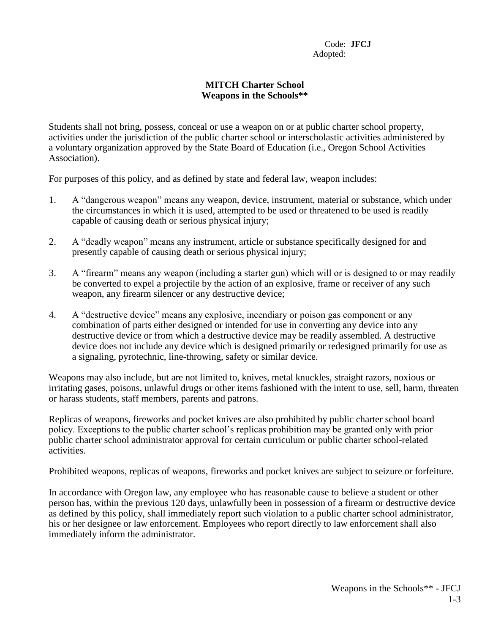## **MITCH Charter School Weapons in the Schools\*\***

Students shall not bring, possess, conceal or use a weapon on or at public charter school property, activities under the jurisdiction of the public charter school or interscholastic activities administered by a voluntary organization approved by the State Board of Education (i.e., Oregon School Activities Association).

For purposes of this policy, and as defined by state and federal law, weapon includes:

- 1. A "dangerous weapon" means any weapon, device, instrument, material or substance, which under the circumstances in which it is used, attempted to be used or threatened to be used is readily capable of causing death or serious physical injury;
- 2. A "deadly weapon" means any instrument, article or substance specifically designed for and presently capable of causing death or serious physical injury;
- 3. A "firearm" means any weapon (including a starter gun) which will or is designed to or may readily be converted to expel a projectile by the action of an explosive, frame or receiver of any such weapon, any firearm silencer or any destructive device;
- 4. A "destructive device" means any explosive, incendiary or poison gas component or any combination of parts either designed or intended for use in converting any device into any destructive device or from which a destructive device may be readily assembled. A destructive device does not include any device which is designed primarily or redesigned primarily for use as a signaling, pyrotechnic, line-throwing, safety or similar device.

Weapons may also include, but are not limited to, knives, metal knuckles, straight razors, noxious or irritating gases, poisons, unlawful drugs or other items fashioned with the intent to use, sell, harm, threaten or harass students, staff members, parents and patrons.

Replicas of weapons, fireworks and pocket knives are also prohibited by public charter school board policy. Exceptions to the public charter school's replicas prohibition may be granted only with prior public charter school administrator approval for certain curriculum or public charter school-related activities.

Prohibited weapons, replicas of weapons, fireworks and pocket knives are subject to seizure or forfeiture.

In accordance with Oregon law, any employee who has reasonable cause to believe a student or other person has, within the previous 120 days, unlawfully been in possession of a firearm or destructive device as defined by this policy, shall immediately report such violation to a public charter school administrator, his or her designee or law enforcement. Employees who report directly to law enforcement shall also immediately inform the administrator.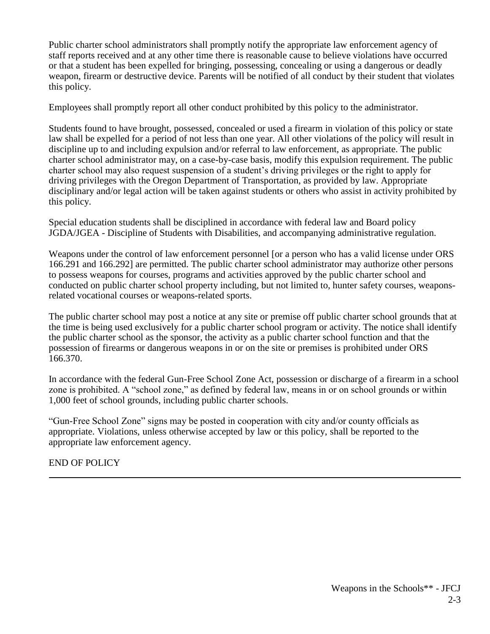Public charter school administrators shall promptly notify the appropriate law enforcement agency of staff reports received and at any other time there is reasonable cause to believe violations have occurred or that a student has been expelled for bringing, possessing, concealing or using a dangerous or deadly weapon, firearm or destructive device. Parents will be notified of all conduct by their student that violates this policy.

Employees shall promptly report all other conduct prohibited by this policy to the administrator.

Students found to have brought, possessed, concealed or used a firearm in violation of this policy or state law shall be expelled for a period of not less than one year. All other violations of the policy will result in discipline up to and including expulsion and/or referral to law enforcement, as appropriate. The public charter school administrator may, on a case-by-case basis, modify this expulsion requirement. The public charter school may also request suspension of a student's driving privileges or the right to apply for driving privileges with the Oregon Department of Transportation, as provided by law. Appropriate disciplinary and/or legal action will be taken against students or others who assist in activity prohibited by this policy.

Special education students shall be disciplined in accordance with federal law and Board policy JGDA/JGEA - Discipline of Students with Disabilities, and accompanying administrative regulation.

Weapons under the control of law enforcement personnel [or a person who has a valid license under ORS 166.291 and 166.292] are permitted. The public charter school administrator may authorize other persons to possess weapons for courses, programs and activities approved by the public charter school and conducted on public charter school property including, but not limited to, hunter safety courses, weaponsrelated vocational courses or weapons-related sports.

The public charter school may post a notice at any site or premise off public charter school grounds that at the time is being used exclusively for a public charter school program or activity. The notice shall identify the public charter school as the sponsor, the activity as a public charter school function and that the possession of firearms or dangerous weapons in or on the site or premises is prohibited under ORS 166.370.

In accordance with the federal Gun-Free School Zone Act, possession or discharge of a firearm in a school zone is prohibited. A "school zone," as defined by federal law, means in or on school grounds or within 1,000 feet of school grounds, including public charter schools.

"Gun-Free School Zone" signs may be posted in cooperation with city and/or county officials as appropriate. Violations, unless otherwise accepted by law or this policy, shall be reported to the appropriate law enforcement agency.

END OF POLICY